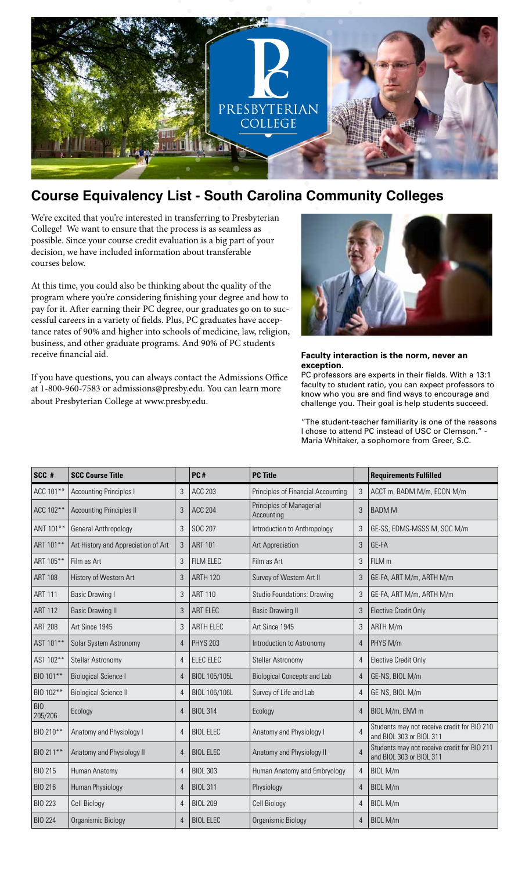

## **Course Equivalency List - South Carolina Community Colleges**

We're excited that you're interested in transferring to Presbyterian College! We want to ensure that the process is as seamless as possible. Since your course credit evaluation is a big part of your decision, we have included information about transferable courses below.

At this time, you could also be thinking about the quality of the program where you're considering finishing your degree and how to pay for it. After earning their PC degree, our graduates go on to successful careers in a variety of fields. Plus, PC graduates have acceptance rates of 90% and higher into schools of medicine, law, religion, business, and other graduate programs. And 90% of PC students receive financial aid.

If you have questions, you can always contact the Admissions Office at 1-800-960-7583 or admissions@presby.edu. You can learn more about Presbyterian College at www.presby.edu.



## **Faculty interaction is the norm, never an exception.**

PC professors are experts in their fields. With a 13:1 faculty to student ratio, you can expect professors to know who you are and find ways to encourage and challenge you. Their goal is help students succeed.

"The student-teacher familiarity is one of the reasons I chose to attend PC instead of USC or Clemson." - Maria Whitaker, a sophomore from Greer, S.C.

| SCC #                 | <b>SCC Course Title</b>             |                | PC#              | <b>PC Title</b>                        |                | <b>Requirements Fulfilled</b>                                           |
|-----------------------|-------------------------------------|----------------|------------------|----------------------------------------|----------------|-------------------------------------------------------------------------|
| ACC 101**             | <b>Accounting Principles I</b>      | 3              | <b>ACC 203</b>   | Principles of Financial Accounting     | 3              | ACCT m, BADM M/m, ECON M/m                                              |
| ACC 102**             | <b>Accounting Principles II</b>     | 3              | <b>ACC 204</b>   | Principles of Managerial<br>Accounting | 3              | <b>BADM M</b>                                                           |
| ANT 101**             | General Anthropology                | $\mathfrak{Z}$ | SOC 207          | Introduction to Anthropology           | 3              | GE-SS, EDMS-MSSS M, SOC M/m                                             |
| ART 101**             | Art History and Appreciation of Art | $\mathfrak{Z}$ | <b>ART 101</b>   | Art Appreciation                       | 3              | GE-FA                                                                   |
| ART 105**             | Film as Art                         | 3              | FILM ELEC        | Film as Art                            | 3              | FILM m                                                                  |
| <b>ART 108</b>        | History of Western Art              | 3              | <b>ARTH 120</b>  | Survey of Western Art II               | 3              | GE-FA, ART M/m, ARTH M/m                                                |
| <b>ART 111</b>        | <b>Basic Drawing I</b>              | $\mathfrak{Z}$ | <b>ART 110</b>   | <b>Studio Foundations: Drawing</b>     | 3              | GE-FA, ART M/m, ARTH M/m                                                |
| <b>ART 112</b>        | <b>Basic Drawing II</b>             | 3              | ART ELEC         | <b>Basic Drawing II</b>                | 3              | <b>Elective Credit Only</b>                                             |
| <b>ART 208</b>        | Art Since 1945                      | 3              | ARTH ELEC        | Art Since 1945                         | 3              | ARTH M/m                                                                |
| AST 101**             | Solar System Astronomy              | $\overline{4}$ | <b>PHYS 203</b>  | Introduction to Astronomy              | $\overline{4}$ | PHYS M/m                                                                |
| AST 102**             | Stellar Astronomy                   | $\overline{4}$ | ELEC ELEC        | Stellar Astronomy                      | 4              | <b>Elective Credit Only</b>                                             |
| BIO 101**             | <b>Biological Science I</b>         | $\overline{4}$ | BIOL 105/105L    | <b>Biological Concepts and Lab</b>     | $\overline{4}$ | GE-NS, BIOL M/m                                                         |
| BIO 102**             | <b>Biological Science II</b>        | $\overline{4}$ | BIOL 106/106L    | Survey of Life and Lab                 | 4              | GE-NS, BIOL M/m                                                         |
| <b>BIO</b><br>205/206 | Ecology                             | $\overline{4}$ | <b>BIOL 314</b>  | Ecology                                | 4              | BIOL M/m, ENVI m                                                        |
| BIO 210**             | Anatomy and Physiology I            | $\overline{4}$ | <b>BIOL ELEC</b> | Anatomy and Physiology I               | $\overline{4}$ | Students may not receive credit for BIO 210<br>and BIOL 303 or BIOL 311 |
| BIO 211**             | Anatomy and Physiology II           | $\overline{4}$ | <b>BIOL ELEC</b> | Anatomy and Physiology II              |                | Students may not receive credit for BIO 211<br>and BIOL 303 or BIOL 311 |
| <b>BIO 215</b>        | Human Anatomy                       | $\overline{4}$ | <b>BIOL 303</b>  | Human Anatomy and Embryology           | $\overline{4}$ | BIOL M/m                                                                |
| <b>BIO 216</b>        | Human Physiology                    | $\overline{4}$ | <b>BIOL 311</b>  | Physiology                             | $\overline{4}$ | BIOL M/m                                                                |
| <b>BIO 223</b>        | Cell Biology                        | $\overline{4}$ | <b>BIOL 209</b>  | Cell Biology                           | 4              | BIOL M/m                                                                |
| <b>BIO 224</b>        | Organismic Biology                  | $\overline{4}$ | <b>BIOL ELEC</b> | Organismic Biology                     | $\overline{4}$ | BIOL M/m                                                                |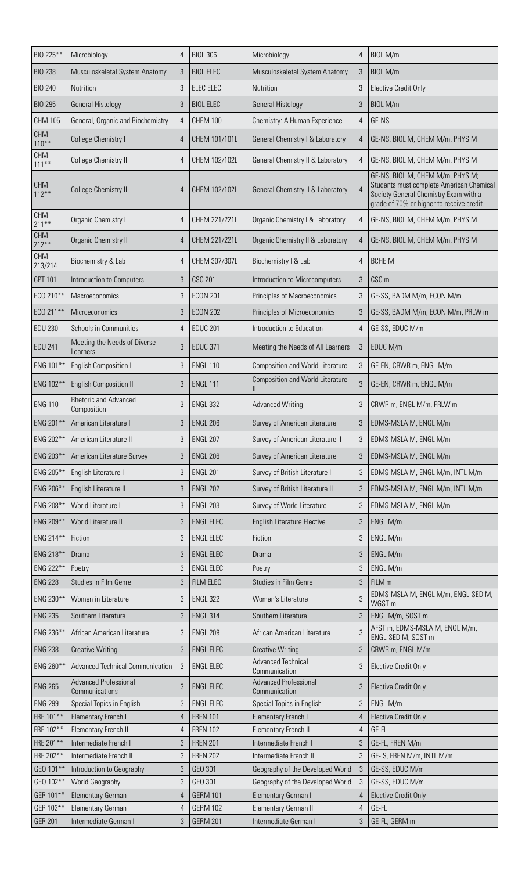| BIO 225**              | Microbiology                                        | $\overline{4}$                   | <b>BIOL 306</b>                      | Microbiology                                               | 4              | BIOL M/m                                                                                                                                                           |
|------------------------|-----------------------------------------------------|----------------------------------|--------------------------------------|------------------------------------------------------------|----------------|--------------------------------------------------------------------------------------------------------------------------------------------------------------------|
| <b>BIO 238</b>         | Musculoskeletal System Anatomy                      | $\mathfrak{B}$                   | <b>BIOL ELEC</b>                     | Musculoskeletal System Anatomy                             | 3              | BIOL M/m                                                                                                                                                           |
| <b>BIO 240</b>         | Nutrition                                           | $\mathfrak{Z}$                   | ELEC ELEC                            | Nutrition                                                  | 3              | <b>Elective Credit Only</b>                                                                                                                                        |
| <b>BIO 295</b>         | <b>General Histology</b>                            | 3                                | <b>BIOL ELEC</b>                     | <b>General Histology</b>                                   | 3              | BIOL M/m                                                                                                                                                           |
| <b>CHM 105</b>         | General, Organic and Biochemistry                   | $\overline{4}$                   | <b>CHEM 100</b>                      | Chemistry: A Human Experience                              | $\overline{4}$ | GE-NS                                                                                                                                                              |
| <b>CHM</b><br>$110***$ | College Chemistry I                                 | $\overline{4}$                   | CHEM 101/101L                        | General Chemistry I & Laboratory                           | $\overline{4}$ | GE-NS, BIOL M, CHEM M/m, PHYS M                                                                                                                                    |
| <b>CHM</b><br>$111***$ | <b>College Chemistry II</b>                         | $\overline{4}$                   | CHEM 102/102L                        | General Chemistry II & Laboratory                          | $\overline{4}$ | GE-NS, BIOL M, CHEM M/m, PHYS M                                                                                                                                    |
| <b>CHM</b><br>$112***$ | College Chemistry II                                | $\overline{4}$                   | CHEM 102/102L                        | General Chemistry II & Laboratory                          | $\overline{4}$ | GE-NS, BIOL M, CHEM M/m, PHYS M;<br>Students must complete American Chemical<br>Society General Chemistry Exam with a<br>grade of 70% or higher to receive credit. |
| <b>CHM</b><br>$211***$ | Organic Chemistry I                                 | 4                                | CHEM 221/221L                        | Organic Chemistry   & Laboratory                           | 4              | GE-NS, BIOL M, CHEM M/m, PHYS M                                                                                                                                    |
| <b>CHM</b><br>$212***$ | Organic Chemistry II                                | $\overline{4}$                   | CHEM 221/221L                        | Organic Chemistry II & Laboratory                          | $\overline{4}$ | GE-NS, BIOL M, CHEM M/m, PHYS M                                                                                                                                    |
| <b>CHM</b><br>213/214  | Biochemistry & Lab                                  | 4                                | CHEM 307/307L                        | Biochemistry I & Lab                                       | $\overline{4}$ | <b>BCHE M</b>                                                                                                                                                      |
| <b>CPT 101</b>         | Introduction to Computers                           | $\mathfrak{Z}$                   | <b>CSC 201</b>                       | Introduction to Microcomputers                             | 3              | CSC <sub>m</sub>                                                                                                                                                   |
| ECO 210**              | Macroeconomics                                      | 3                                | <b>ECON 201</b>                      | Principles of Macroeconomics                               | 3              | GE-SS, BADM M/m, ECON M/m                                                                                                                                          |
| ECO 211**              | Microeconomics                                      | $\mathfrak{Z}$                   | <b>ECON 202</b>                      | Principles of Microeconomics                               | 3              | GE-SS, BADM M/m, ECON M/m, PRLW m                                                                                                                                  |
| <b>EDU 230</b>         | Schools in Communities                              | $\overline{4}$                   | <b>EDUC 201</b>                      | Introduction to Education                                  | 4              | GE-SS, EDUC M/m                                                                                                                                                    |
| <b>EDU 241</b>         | Meeting the Needs of Diverse<br>Learners            | $\mathfrak{Z}$                   | <b>EDUC 371</b>                      | Meeting the Needs of All Learners                          | 3              | EDUC M/m                                                                                                                                                           |
| ENG 101**              | <b>English Composition I</b>                        | 3                                | <b>ENGL 110</b>                      | Composition and World Literature I                         | 3              | GE-EN, CRWR m, ENGL M/m                                                                                                                                            |
| ENG 102**              | <b>English Composition II</b>                       | 3                                | <b>ENGL 111</b>                      | <b>Composition and World Literature</b><br>$\mathsf{II}$   | 3              | GE-EN, CRWR m, ENGL M/m                                                                                                                                            |
| <b>ENG 110</b>         | <b>Rhetoric and Advanced</b><br>Composition         | $\mathfrak{Z}$                   | <b>ENGL 332</b>                      | <b>Advanced Writing</b>                                    | 3              | CRWR m, ENGL M/m, PRLW m                                                                                                                                           |
| ENG 201**              | American Literature I                               | $\sqrt{3}$                       | <b>ENGL 206</b>                      | Survey of American Literature I                            | 3              | EDMS-MSLA M, ENGL M/m                                                                                                                                              |
| ENG 202**              | American Literature II                              | 3                                | <b>ENGL 207</b>                      | Survey of American Literature II                           | 3              | EDMS-MSLA M, ENGL M/m                                                                                                                                              |
| ENG 203**              | American Literature Survey                          | 3                                | <b>ENGL 206</b>                      | Survey of American Literature I                            | 3              | EDMS-MSLA M, ENGL M/m                                                                                                                                              |
| ENG 205**              | English Literature I                                | 3                                | <b>ENGL 201</b>                      | Survey of British Literature I                             | 3              | EDMS-MSLA M, ENGL M/m, INTL M/m                                                                                                                                    |
| ENG 206**              | English Literature II                               | $\mathfrak{Z}$                   | <b>ENGL 202</b>                      | Survey of British Literature II                            | 3              | EDMS-MSLA M, ENGL M/m, INTL M/m                                                                                                                                    |
| ENG 208**              | World Literature I                                  | $\mathfrak{Z}$                   | <b>ENGL 203</b>                      | Survey of World Literature                                 | 3              | EDMS-MSLA M, ENGL M/m                                                                                                                                              |
| ENG 209**              | World Literature II                                 | $\mathfrak{Z}$                   | <b>ENGL ELEC</b>                     | <b>English Literature Elective</b>                         | 3              | ENGL M/m                                                                                                                                                           |
| ENG 214**              | Fiction                                             | $\mathfrak{Z}$                   | <b>ENGL ELEC</b>                     | Fiction                                                    | 3              | ENGL M/m                                                                                                                                                           |
|                        |                                                     |                                  |                                      |                                                            |                | ENGL M/m                                                                                                                                                           |
| ENG 218**<br>ENG 222** | Drama<br>Poetry                                     | $\mathfrak{Z}$<br>$\mathfrak{Z}$ | <b>ENGL ELEC</b><br><b>ENGL ELEC</b> | Drama<br>Poetry                                            | 3<br>3         | ENGL M/m                                                                                                                                                           |
| <b>ENG 228</b>         | Studies in Film Genre                               | 3                                | FILM ELEC                            | Studies in Film Genre                                      | 3              | FILM m                                                                                                                                                             |
| ENG 230**              | Women in Literature                                 | 3                                | <b>ENGL 322</b>                      | Women's Literature                                         | 3              | EDMS-MSLA M, ENGL M/m, ENGL-SED M,<br>WGST <sub>m</sub>                                                                                                            |
| <b>ENG 235</b>         | Southern Literature                                 | $\sqrt{3}$                       | <b>ENGL 314</b>                      | Southern Literature                                        | 3              | ENGL M/m, SOST m                                                                                                                                                   |
| ENG 236**              | African American Literature                         | 3                                | <b>ENGL 209</b>                      | African American Literature                                | 3              | AFST m, EDMS-MSLA M, ENGL M/m,<br>ENGL-SED M, SOST m                                                                                                               |
| <b>ENG 238</b>         | <b>Creative Writing</b>                             | $\mathfrak{Z}$                   | <b>ENGL ELEC</b>                     | <b>Creative Writing</b>                                    | 3              | CRWR m, ENGL M/m                                                                                                                                                   |
| ENG 260**              | <b>Advanced Technical Communication</b>             | $\mathfrak{Z}$                   | <b>ENGL ELEC</b>                     | Advanced Technical<br>Communication                        | 3              | <b>Elective Credit Only</b>                                                                                                                                        |
| <b>ENG 265</b>         | <b>Advanced Professional</b><br>Communications      | $\sqrt{3}$                       | <b>ENGL ELEC</b>                     | <b>Advanced Professional</b><br>Communication              | 3              | <b>Elective Credit Only</b>                                                                                                                                        |
| <b>ENG 299</b>         | Special Topics in English                           | 3                                | <b>ENGL ELEC</b>                     | Special Topics in English                                  | 3              | ENGL M/m                                                                                                                                                           |
| FRE 101**              | <b>Elementary French I</b>                          | $\overline{4}$                   | <b>FREN 101</b>                      | Elementary French I                                        | 4              | <b>Elective Credit Only</b>                                                                                                                                        |
| FRE 102**              | <b>Elementary French II</b>                         | 4                                | <b>FREN 102</b>                      | <b>Elementary French II</b>                                | $\overline{4}$ | GE-FL                                                                                                                                                              |
| FRE 201**              | Intermediate French I                               | 3                                | <b>FREN 201</b>                      | Intermediate French I                                      | 3              | GE-FL, FREN M/m                                                                                                                                                    |
| FRE 202**<br>GEO 101** | Intermediate French II<br>Introduction to Geography | 3<br>3                           | <b>FREN 202</b><br>GEO 301           | Intermediate French II<br>Geography of the Developed World | 3<br>3         | GE-IS, FREN M/m, INTL M/m<br>GE-SS, EDUC M/m                                                                                                                       |
| GEO 102**              | World Geography                                     | 3                                | GEO 301                              | Geography of the Developed World                           | 3              | GE-SS, EDUC M/m                                                                                                                                                    |
| GER 101**              | Elementary German I                                 | 4                                | <b>GERM 101</b>                      | Elementary German I                                        | $\overline{4}$ | <b>Elective Credit Only</b>                                                                                                                                        |
| GER 102**              | Elementary German II                                | $\overline{4}$                   | <b>GERM 102</b>                      | Elementary German II                                       | 4              | GE-FL                                                                                                                                                              |
| <b>GER 201</b>         | Intermediate German I                               | 3                                | <b>GERM 201</b>                      | Intermediate German I                                      | 3              | GE-FL, GERM m                                                                                                                                                      |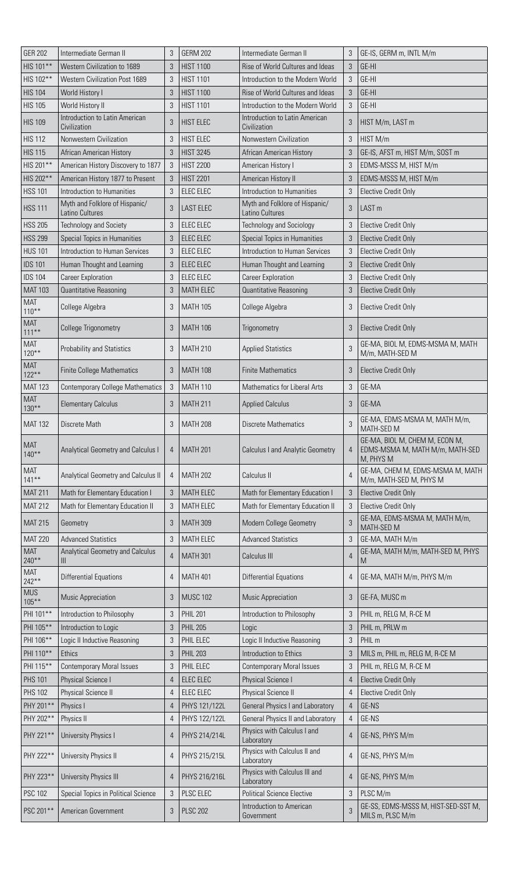| <b>GER 202</b>         | Intermediate German II                            | 3              | <b>GERM 202</b>  | Intermediate German II                            | 3              | GE-IS, GERM m, INTL M/m                                                        |
|------------------------|---------------------------------------------------|----------------|------------------|---------------------------------------------------|----------------|--------------------------------------------------------------------------------|
| HIS 101**              | Western Civilization to 1689                      | 3              | <b>HIST 1100</b> | Rise of World Cultures and Ideas                  | 3              | GE-HI                                                                          |
| HIS 102**              | <b>Western Civilization Post 1689</b>             | 3              | <b>HIST 1101</b> | Introduction to the Modern World                  | 3              | GE-HI                                                                          |
| <b>HIS 104</b>         | World History I                                   | $\mathfrak{Z}$ | <b>HIST 1100</b> | Rise of World Cultures and Ideas                  | 3              | GE-HI                                                                          |
| <b>HIS 105</b>         | World History II                                  | $\mathfrak{Z}$ | <b>HIST 1101</b> | Introduction to the Modern World                  | 3              | GE-HI                                                                          |
| <b>HIS 109</b>         | Introduction to Latin American<br>Civilization    | $\mathfrak{Z}$ | <b>HIST ELEC</b> | Introduction to Latin American<br>Civilization    | 3              | HIST M/m, LAST m                                                               |
| <b>HIS 112</b>         | Nonwestern Civilization                           | $\mathfrak{Z}$ | <b>HIST ELEC</b> | Nonwestern Civilization                           | 3              | HIST M/m                                                                       |
| <b>HIS 115</b>         | African American History                          | 3              | <b>HIST 3245</b> | <b>African American History</b>                   | 3              | GE-IS, AFST m, HIST M/m, SOST m                                                |
| HIS 201**              | American History Discovery to 1877                | $\mathfrak{Z}$ | <b>HIST 2200</b> | American History I                                | 3              | EDMS-MSSS M, HIST M/m                                                          |
| HIS 202**              | American History 1877 to Present                  | $\mathfrak{Z}$ | <b>HIST 2201</b> | American History II                               | 3              | EDMS-MSSS M, HIST M/m                                                          |
| <b>HSS 101</b>         | Introduction to Humanities                        | $\mathfrak{Z}$ | <b>ELEC ELEC</b> | Introduction to Humanities                        | 3              | <b>Elective Credit Only</b>                                                    |
| <b>HSS 111</b>         | Myth and Folklore of Hispanic/<br>Latino Cultures | $\mathfrak{Z}$ | <b>LAST ELEC</b> | Myth and Folklore of Hispanic/<br>Latino Cultures | 3              | LAST <sub>m</sub>                                                              |
| <b>HSS 205</b>         | <b>Technology and Society</b>                     | 3              | ELEC ELEC        | <b>Technology and Sociology</b>                   | 3              | <b>Elective Credit Only</b>                                                    |
| <b>HSS 299</b>         | Special Topics in Humanities                      | 3              | ELEC ELEC        | Special Topics in Humanities                      | $\sqrt{3}$     | <b>Elective Credit Only</b>                                                    |
| <b>HUS 101</b>         | Introduction to Human Services                    | 3              | ELEC ELEC        | Introduction to Human Services                    | 3              | <b>Elective Credit Only</b>                                                    |
| <b>IDS 101</b>         | Human Thought and Learning                        | $\sqrt{3}$     | ELEC ELEC        | Human Thought and Learning                        | 3              | <b>Elective Credit Only</b>                                                    |
| <b>IDS 104</b>         | <b>Career Exploration</b>                         | $\mathfrak{Z}$ | ELEC ELEC        | <b>Career Exploration</b>                         | 3              | <b>Elective Credit Only</b>                                                    |
| <b>MAT 103</b>         | Quantitative Reasoning                            | $\mathfrak{B}$ | <b>MATH ELEC</b> | Quantitative Reasoning                            | 3              | <b>Elective Credit Only</b>                                                    |
| MAT<br>$110***$        | College Algebra                                   | $\mathfrak{B}$ | <b>MATH 105</b>  | College Algebra                                   | 3              | <b>Elective Credit Only</b>                                                    |
| <b>MAT</b><br>$111***$ | <b>College Trigonometry</b>                       | 3              | <b>MATH 106</b>  | Trigonometry                                      | 3              | <b>Elective Credit Only</b>                                                    |
| MAT<br>$120***$        | Probability and Statistics                        | 3              | <b>MATH 210</b>  | <b>Applied Statistics</b>                         | 3              | GE-MA, BIOL M, EDMS-MSMA M, MATH<br>M/m, MATH-SED M                            |
| <b>MAT</b><br>$122***$ | <b>Finite College Mathematics</b>                 | 3              | <b>MATH 108</b>  | <b>Finite Mathematics</b>                         | 3              | <b>Elective Credit Only</b>                                                    |
| <b>MAT 123</b>         | <b>Contemporary College Mathematics</b>           | $\mathfrak{Z}$ | <b>MATH 110</b>  | <b>Mathematics for Liberal Arts</b>               | 3              | GE-MA                                                                          |
| <b>MAT</b><br>$130***$ | <b>Elementary Calculus</b>                        | 3              | <b>MATH 211</b>  | <b>Applied Calculus</b>                           | 3              | GE-MA                                                                          |
| <b>MAT 132</b>         | Discrete Math                                     | 3              | <b>MATH 208</b>  | <b>Discrete Mathematics</b>                       | 3              | GE-MA, EDMS-MSMA M, MATH M/m,<br>MATH-SED M                                    |
| <b>MAT</b><br>$140**$  | Analytical Geometry and Calculus I                | 4              | <b>MATH 201</b>  | <b>Calculus I and Analytic Geometry</b>           | $\overline{4}$ | GE-MA, BIOL M, CHEM M, ECON M,<br>EDMS-MSMA M, MATH M/m, MATH-SED<br>M, PHYS M |
| <b>MAT</b><br>$141***$ | Analytical Geometry and Calculus II               | 4              | <b>MATH 202</b>  | Calculus II                                       | $\overline{4}$ | GE-MA, CHEM M, EDMS-MSMA M, MATH<br>M/m, MATH-SED M, PHYS M                    |
| <b>MAT 211</b>         | Math for Elementary Education I                   | 3              | <b>MATH ELEC</b> | Math for Elementary Education I                   | 3              | <b>Elective Credit Only</b>                                                    |
| <b>MAT 212</b>         | Math for Elementary Education II                  | $\mathfrak{Z}$ | <b>MATH ELEC</b> | Math for Elementary Education II                  | 3              | <b>Elective Credit Only</b>                                                    |
| <b>MAT 215</b>         | Geometry                                          | 3              | <b>MATH 309</b>  | Modern College Geometry                           | 3              | GE-MA, EDMS-MSMA M, MATH M/m,<br>MATH-SED M                                    |
| <b>MAT 220</b>         | <b>Advanced Statistics</b>                        | $\mathfrak{Z}$ | MATH ELEC        | <b>Advanced Statistics</b>                        | 3              | GE-MA, MATH M/m                                                                |
| <b>MAT</b><br>$240***$ | Analytical Geometry and Calculus<br>III           | $\overline{4}$ | <b>MATH 301</b>  | Calculus III                                      | $\overline{4}$ | GE-MA, MATH M/m, MATH-SED M, PHYS<br>M                                         |
| <b>MAT</b><br>$242***$ | <b>Differential Equations</b>                     | 4              | <b>MATH 401</b>  | <b>Differential Equations</b>                     | 4              | GE-MA, MATH M/m, PHYS M/m                                                      |
| <b>MUS</b><br>$105***$ | Music Appreciation                                | 3              | <b>MUSC 102</b>  | <b>Music Appreciation</b>                         | 3              | GE-FA, MUSC m                                                                  |
| PHI 101**              | Introduction to Philosophy                        | 3              | <b>PHIL 201</b>  | Introduction to Philosophy                        | 3              | PHIL m, RELG M, R-CE M                                                         |
| PHI 105**              | Introduction to Logic                             | 3              | <b>PHIL 205</b>  | Logic                                             | 3              | PHIL m, PRLW m                                                                 |
| PHI 106**              | Logic II Inductive Reasoning                      | $\mathfrak{Z}$ | PHIL ELEC        | Logic II Inductive Reasoning                      | 3              | PHIL m                                                                         |
| PHI 110**              | <b>Ethics</b>                                     | 3              | <b>PHIL 203</b>  | Introduction to Ethics                            | 3              | MILS m, PHIL m, RELG M, R-CE M                                                 |
| PHI 115**              | <b>Contemporary Moral Issues</b>                  | $\mathfrak{Z}$ | PHIL ELEC        | <b>Contemporary Moral Issues</b>                  | 3              | PHIL m, RELG M, R-CE M                                                         |
| <b>PHS 101</b>         | Physical Science I                                | 4              | ELEC ELEC        | <b>Physical Science I</b>                         | 4              | <b>Elective Credit Only</b>                                                    |
| <b>PHS 102</b>         | Physical Science II                               | 4              | <b>ELEC ELEC</b> | Physical Science II                               | $\overline{4}$ | <b>Elective Credit Only</b>                                                    |
| PHY 201**              | Physics I                                         | $\overline{4}$ | PHYS 121/122L    | <b>General Physics I and Laboratory</b>           | $\overline{4}$ | GE-NS                                                                          |
| PHY 202**              | Physics II                                        | 4              | PHYS 122/122L    | General Physics II and Laboratory                 | $\overline{4}$ | GE-NS                                                                          |
| PHY 221**              | University Physics I                              | $\overline{4}$ | PHYS 214/214L    | Physics with Calculus I and<br>Laboratory         | $\overline{4}$ | GE-NS, PHYS M/m                                                                |
| PHY 222**              | University Physics II                             | 4              | PHYS 215/215L    | Physics with Calculus II and<br>Laboratory        | $\overline{4}$ | GE-NS, PHYS M/m                                                                |
| PHY 223**              | University Physics III                            | 4              | PHYS 216/216L    | Physics with Calculus III and<br>Laboratory       | 4              | GE-NS, PHYS M/m                                                                |
| <b>PSC 102</b>         | Special Topics in Political Science               | $\sqrt{3}$     | PLSC ELEC        | <b>Political Science Elective</b>                 | 3              | PLSC M/m                                                                       |
| PSC 201**              | American Government                               | 3              | <b>PLSC 202</b>  | Introduction to American<br>Government            | 3              | GE-SS, EDMS-MSSS M, HIST-SED-SST M,<br>MILS m, PLSC M/m                        |